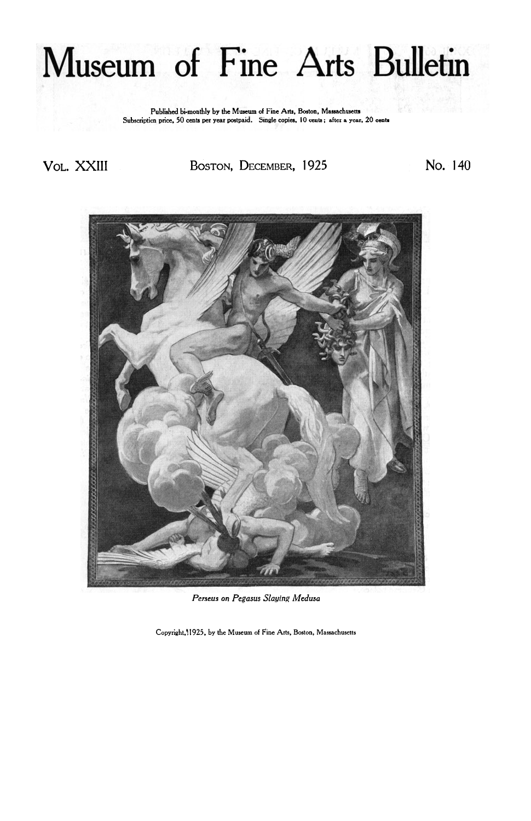## Museum of Fine Arts Bulletin

**Published bi-monthly by the Museum of Fine Arts. Boston, Massachusetts Subscription price. 50 cents per year postpaid. Single copies. 10 cents** : **after a year. 20 cents** 

VOL. XXIII **BOSTON, DECEMBER,** 1925 No. 140



*Perseus on Pegasus Slaying Medusa* 

**Copyright.? 1925. by the Museum of Fine Arts. Boston, Massachusetts**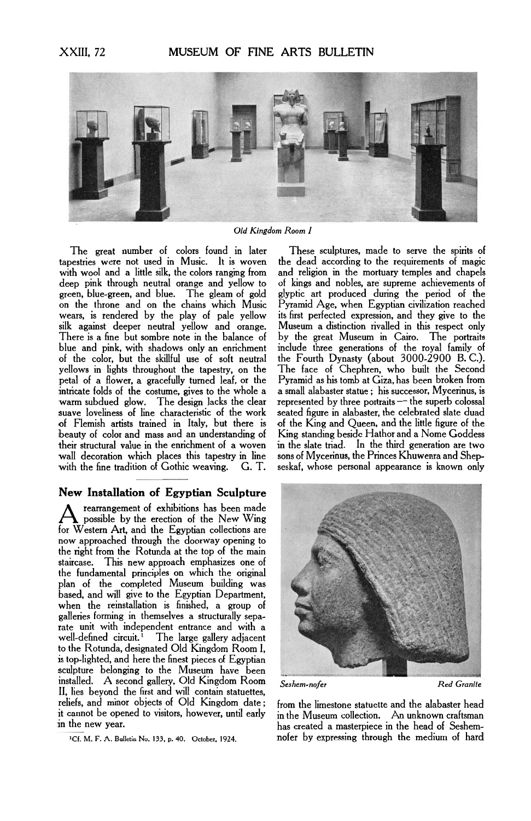

*Old Kingdom Room I* 

The great number of colors found in later tapestries were not used in Music. It is woven with wool and a little silk, the colors ranging from deep pink through neutral orange and yellow to green, blue-green, and blue. The gleam of gold on the throne and on the chains which Music wears, is rendered by the play of pale yellow silk against deeper neutral yellow and orange. There is a fine but sombre note in the balance of blue and pink, with shadows only an enrichment of the color, but the skillful use of soft neutral yellows in lights throughout the tapestry, on the petal of a flower, a gracefully turned leaf, or the intricate folds of the costume, gives to the whole a warm subdued glow. The design lacks the clear suave loveliness of line characteristic of the work of Flemish artists trained in Italy, but there is beauty of color and mass and an understanding of their structural value in the enrichment of a woven wall decoration which places this tapestry in line<br>with the fine tradition of Gothic weaving. G.T. with the fine tradition of Gothic weaving.

## **New Installation of Egyptian Sculpture**

rearrangement of exhibitions has been made<br>possible by the erection of the New Wing for Western Art, and the Egyptian collections are now approached through the doorway opening to the right from the Rotunda at the top of the main staircase. This new approach emphasizes one of the fundamental principles on which the original plan of the completed Museum building was based, and will give to the Egyptian Department, when the reinstallation is finished, a group of galleries forming in themselves a structurally separate unit with independent entrance and with a well-defined circuit.<sup>1</sup> The large gallery adjacent to the Rotunda, designated Old Kingdom Room I, is top-lighted, and here the finest pieces of Egyptian sculpture belonging to the Museum have been installed. A second gallery, Old Kingdom Room *Seshem-nofer Red Granite*  II, lies beyond the first and will contain statuettes, reliefs, and minor objects of Old Kingdom date; from the limestone statuette and the alabaster head<br>it cannot be opened to visitors, however, until early in the Museum collection. An unknown craftsman it cannot be opened to visitors, however, until early in the Museum collection. An unknown craftsman<br>in the new year.

**1 Cf. M.** F. **A. Bulletin No. 133, p. 40. October. 1924.** 

These sculptures, made to serve the spirits **of**  the dead according to the requirements of magic and religion in the mortuary temples and chapels of kings and nobles, are supreme achievements **of**  glyptic art produced during the period of the Pyramid Age, when Egyptian civilization reached its first perfected expression, and they give to the Museum a distinction rivalled in this respect only by the great Museum in Cairo. The portraits include three generations of the royal family of the Fourth Dynasty (about 3000-2900 B.C.). The face of Chephren, who built the Second Pyramid as his tomb at Giza, has been broken from Pyramid as his tomb at Giza, has been broken from<br>a small alabaster statue ; his successor, Mycerinus, is<br>represented by three portraits — the superb colossal<br>sected fours in alabaster, the selekted slate duad seated figure in alabaster, the celebrated slate duad of the King and Queen, and the little figure of the King standing beside Hathor and a Nome Goddess in the slate triad. In the third generation are two sons of Mycerinus, the Princes Khuwenra and Shepseskaf, whose personal appearance is known only



has created a masterpiece in the head of Seshemnofer by expressing through the medium of hard